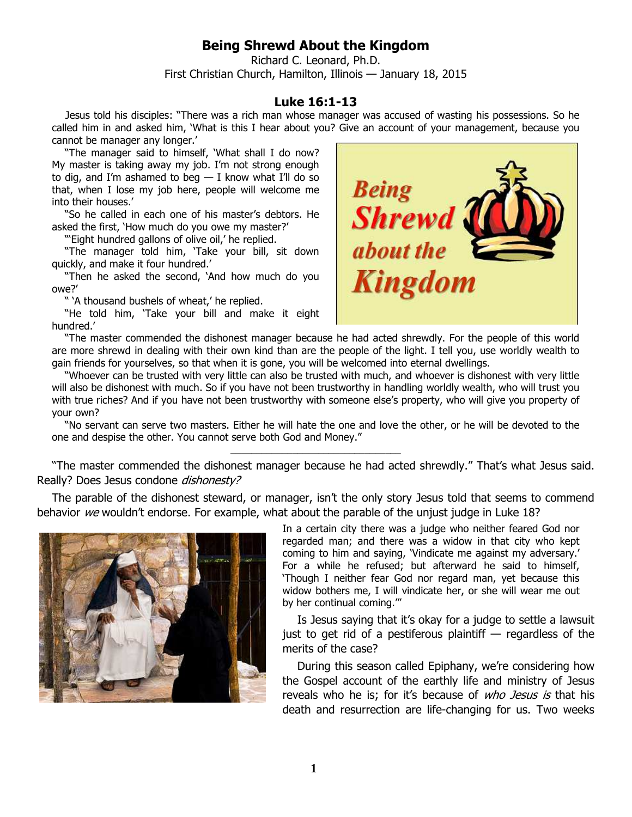## **Being Shrewd About the Kingdom**

Richard C. Leonard, Ph.D. First Christian Church, Hamilton, Illinois — January 18, 2015

## **Luke 16:1-13**

 Jesus told his disciples: "There was a rich man whose manager was accused of wasting his possessions. So he called him in and asked him, 'What is this I hear about you? Give an account of your management, because you cannot be manager any longer.'

 "The manager said to himself, 'What shall I do now? My master is taking away my job. I'm not strong enough to dig, and I'm ashamed to beg  $-$  I know what I'll do so that, when I lose my job here, people will welcome me into their houses.'

 "So he called in each one of his master's debtors. He asked the first, 'How much do you owe my master?'

"Eight hundred gallons of olive oil,' he replied.

 "The manager told him, 'Take your bill, sit down quickly, and make it four hundred.'

 "Then he asked the second, 'And how much do you owe?'

" 'A thousand bushels of wheat,' he replied.

 "He told him, 'Take your bill and make it eight hundred.'



 "The master commended the dishonest manager because he had acted shrewdly. For the people of this world are more shrewd in dealing with their own kind than are the people of the light. I tell you, use worldly wealth to gain friends for yourselves, so that when it is gone, you will be welcomed into eternal dwellings.

 "Whoever can be trusted with very little can also be trusted with much, and whoever is dishonest with very little will also be dishonest with much. So if you have not been trustworthy in handling worldly wealth, who will trust you with true riches? And if you have not been trustworthy with someone else's property, who will give you property of your own?

 "No servant can serve two masters. Either he will hate the one and love the other, or he will be devoted to the one and despise the other. You cannot serve both God and Money." \_\_\_\_\_\_\_\_\_\_\_\_\_\_\_\_\_\_\_\_\_\_\_\_\_\_\_\_\_\_\_\_\_

"The master commended the dishonest manager because he had acted shrewdly." That's what Jesus said. Really? Does Jesus condone *dishonesty?* 

The parable of the dishonest steward, or manager, isn't the only story Jesus told that seems to commend behavior we wouldn't endorse. For example, what about the parable of the unjust judge in Luke 18?



In a certain city there was a judge who neither feared God nor regarded man; and there was a widow in that city who kept coming to him and saying, 'Vindicate me against my adversary.' For a while he refused; but afterward he said to himself, 'Though I neither fear God nor regard man, yet because this widow bothers me, I will vindicate her, or she will wear me out by her continual coming.'"

Is Jesus saying that it's okay for a judge to settle a lawsuit just to get rid of a pestiferous plaintiff — regardless of the merits of the case?

During this season called Epiphany, we're considering how the Gospel account of the earthly life and ministry of Jesus reveals who he is; for it's because of who Jesus is that his death and resurrection are life-changing for us. Two weeks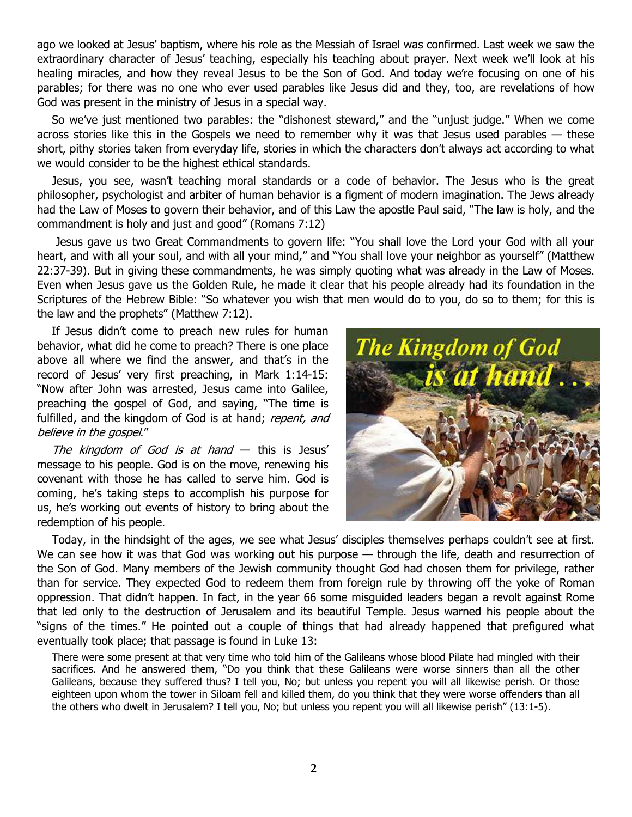ago we looked at Jesus' baptism, where his role as the Messiah of Israel was confirmed. Last week we saw the extraordinary character of Jesus' teaching, especially his teaching about prayer. Next week we'll look at his healing miracles, and how they reveal Jesus to be the Son of God. And today we're focusing on one of his parables; for there was no one who ever used parables like Jesus did and they, too, are revelations of how God was present in the ministry of Jesus in a special way.

So we've just mentioned two parables: the "dishonest steward," and the "unjust judge." When we come across stories like this in the Gospels we need to remember why it was that Jesus used parables — these short, pithy stories taken from everyday life, stories in which the characters don't always act according to what we would consider to be the highest ethical standards.

Jesus, you see, wasn't teaching moral standards or a code of behavior. The Jesus who is the great philosopher, psychologist and arbiter of human behavior is a figment of modern imagination. The Jews already had the Law of Moses to govern their behavior, and of this Law the apostle Paul said, "The law is holy, and the commandment is holy and just and good" (Romans 7:12)

 Jesus gave us two Great Commandments to govern life: "You shall love the Lord your God with all your heart, and with all your soul, and with all your mind," and "You shall love your neighbor as yourself" (Matthew 22:37-39). But in giving these commandments, he was simply quoting what was already in the Law of Moses. Even when Jesus gave us the Golden Rule, he made it clear that his people already had its foundation in the Scriptures of the Hebrew Bible: "So whatever you wish that men would do to you, do so to them; for this is the law and the prophets" (Matthew 7:12).

If Jesus didn't come to preach new rules for human behavior, what did he come to preach? There is one place above all where we find the answer, and that's in the record of Jesus' very first preaching, in Mark 1:14-15: "Now after John was arrested, Jesus came into Galilee, preaching the gospel of God, and saying, "The time is fulfilled, and the kingdom of God is at hand; repent, and believe in the gospel."

The kingdom of God is at hand  $-$  this is Jesus' message to his people. God is on the move, renewing his covenant with those he has called to serve him. God is coming, he's taking steps to accomplish his purpose for us, he's working out events of history to bring about the redemption of his people.



Today, in the hindsight of the ages, we see what Jesus' disciples themselves perhaps couldn't see at first. We can see how it was that God was working out his purpose — through the life, death and resurrection of the Son of God. Many members of the Jewish community thought God had chosen them for privilege, rather than for service. They expected God to redeem them from foreign rule by throwing off the yoke of Roman oppression. That didn't happen. In fact, in the year 66 some misguided leaders began a revolt against Rome that led only to the destruction of Jerusalem and its beautiful Temple. Jesus warned his people about the "signs of the times." He pointed out a couple of things that had already happened that prefigured what eventually took place; that passage is found in Luke 13:

There were some present at that very time who told him of the Galileans whose blood Pilate had mingled with their sacrifices. And he answered them, "Do you think that these Galileans were worse sinners than all the other Galileans, because they suffered thus? I tell you, No; but unless you repent you will all likewise perish. Or those eighteen upon whom the tower in Siloam fell and killed them, do you think that they were worse offenders than all the others who dwelt in Jerusalem? I tell you, No; but unless you repent you will all likewise perish" (13:1-5).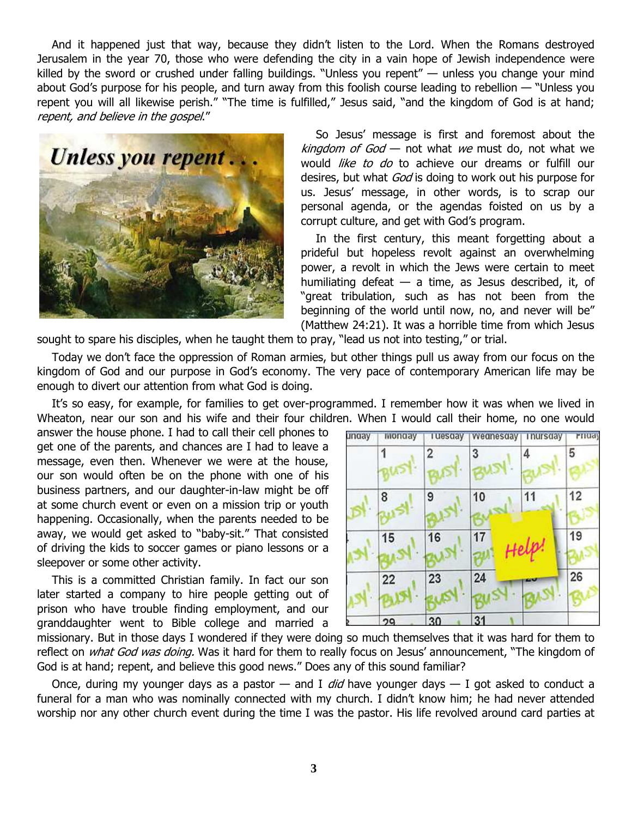And it happened just that way, because they didn't listen to the Lord. When the Romans destroyed Jerusalem in the year 70, those who were defending the city in a vain hope of Jewish independence were killed by the sword or crushed under falling buildings. "Unless you repent" — unless you change your mind about God's purpose for his people, and turn away from this foolish course leading to rebellion — "Unless you repent you will all likewise perish." "The time is fulfilled," Jesus said, "and the kingdom of God is at hand; repent, and believe in the gospel."



So Jesus' message is first and foremost about the kingdom of  $God - not$  what we must do, not what we would *like to do* to achieve our dreams or fulfill our desires, but what God is doing to work out his purpose for us. Jesus' message, in other words, is to scrap our personal agenda, or the agendas foisted on us by a corrupt culture, and get with God's program.

In the first century, this meant forgetting about a prideful but hopeless revolt against an overwhelming power, a revolt in which the Jews were certain to meet humiliating defeat  $-$  a time, as Jesus described, it, of "great tribulation, such as has not been from the beginning of the world until now, no, and never will be" (Matthew 24:21). It was a horrible time from which Jesus

sought to spare his disciples, when he taught them to pray, "lead us not into testing," or trial.

Today we don't face the oppression of Roman armies, but other things pull us away from our focus on the kingdom of God and our purpose in God's economy. The very pace of contemporary American life may be enough to divert our attention from what God is doing.

It's so easy, for example, for families to get over-programmed. I remember how it was when we lived in Wheaton, near our son and his wife and their four children. When I would call their home, no one would

answer the house phone. I had to call their cell phones to get one of the parents, and chances are I had to leave a message, even then. Whenever we were at the house, our son would often be on the phone with one of his business partners, and our daughter-in-law might be off at some church event or even on a mission trip or youth happening. Occasionally, when the parents needed to be away, we would get asked to "baby-sit." That consisted of driving the kids to soccer games or piano lessons or a sleepover or some other activity.

This is a committed Christian family. In fact our son later started a company to hire people getting out of prison who have trouble finding employment, and our granddaughter went to Bible college and married a



missionary. But in those days I wondered if they were doing so much themselves that it was hard for them to reflect on what God was doing. Was it hard for them to really focus on Jesus' announcement, "The kingdom of God is at hand; repent, and believe this good news." Does any of this sound familiar?

Once, during my younger days as a pastor — and I *did* have younger days — I got asked to conduct a funeral for a man who was nominally connected with my church. I didn't know him; he had never attended worship nor any other church event during the time I was the pastor. His life revolved around card parties at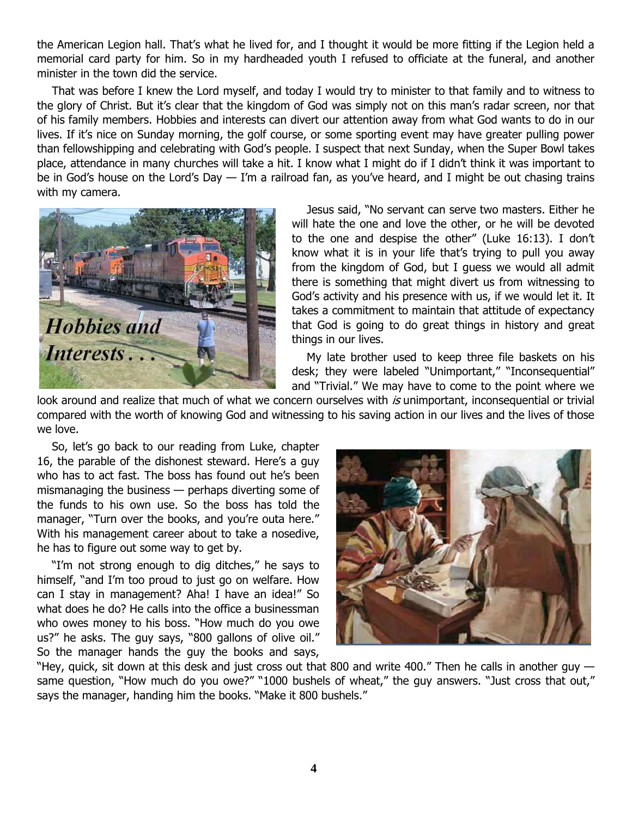the American Legion hall. That's what he lived for, and I thought it would be more fitting if the Legion held a memorial card party for him. So in my hardheaded youth I refused to officiate at the funeral, and another minister in the town did the service.

That was before I knew the Lord myself, and today I would try to minister to that family and to witness to the glory of Christ. But it's clear that the kingdom of God was simply not on this man's radar screen, nor that of his family members. Hobbies and interests can divert our attention away from what God wants to do in our lives. If it's nice on Sunday morning, the golf course, or some sporting event may have greater pulling power than fellowshipping and celebrating with God's people. I suspect that next Sunday, when the Super Bowl takes place, attendance in many churches will take a hit. I know what I might do if I didn't think it was important to be in God's house on the Lord's Day — I'm a railroad fan, as you've heard, and I might be out chasing trains with my camera.



Jesus said, "No servant can serve two masters. Either he will hate the one and love the other, or he will be devoted to the one and despise the other" (Luke 16:13). I don't know what it is in your life that's trying to pull you away from the kingdom of God, but I guess we would all admit there is something that might divert us from witnessing to God's activity and his presence with us, if we would let it. It takes a commitment to maintain that attitude of expectancy that God is going to do great things in history and great things in our lives.

My late brother used to keep three file baskets on his desk; they were labeled "Unimportant," "Inconsequential" and "Trivial." We may have to come to the point where we

look around and realize that much of what we concern ourselves with is unimportant, inconsequential or trivial compared with the worth of knowing God and witnessing to his saving action in our lives and the lives of those we love.

So, let's go back to our reading from Luke, chapter 16, the parable of the dishonest steward. Here's a guy who has to act fast. The boss has found out he's been mismanaging the business — perhaps diverting some of the funds to his own use. So the boss has told the manager, "Turn over the books, and you're outa here." With his management career about to take a nosedive, he has to figure out some way to get by.

"I'm not strong enough to dig ditches," he says to himself, "and I'm too proud to just go on welfare. How can I stay in management? Aha! I have an idea!" So what does he do? He calls into the office a businessman who owes money to his boss. "How much do you owe us?" he asks. The guy says, "800 gallons of olive oil." So the manager hands the guy the books and says,



"Hey, quick, sit down at this desk and just cross out that 800 and write 400." Then he calls in another guy same question, "How much do you owe?" "1000 bushels of wheat," the guy answers. "Just cross that out," says the manager, handing him the books. "Make it 800 bushels."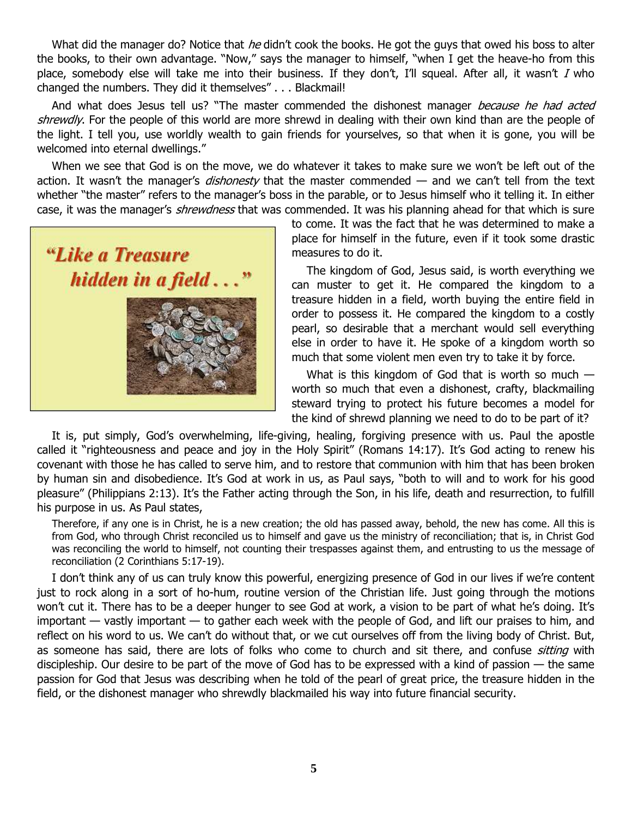What did the manager do? Notice that he didn't cook the books. He got the guys that owed his boss to alter the books, to their own advantage. "Now," says the manager to himself, "when I get the heave-ho from this place, somebody else will take me into their business. If they don't, I'll squeal. After all, it wasn't  $I$  who changed the numbers. They did it themselves" . . . Blackmail!

And what does Jesus tell us? "The master commended the dishonest manager because he had acted shrewdly. For the people of this world are more shrewd in dealing with their own kind than are the people of the light. I tell you, use worldly wealth to gain friends for yourselves, so that when it is gone, you will be welcomed into eternal dwellings."

When we see that God is on the move, we do whatever it takes to make sure we won't be left out of the action. It wasn't the manager's *dishonesty* that the master commended — and we can't tell from the text whether "the master" refers to the manager's boss in the parable, or to Jesus himself who it telling it. In either case, it was the manager's *shrewdness* that was commended. It was his planning ahead for that which is sure



to come. It was the fact that he was determined to make a place for himself in the future, even if it took some drastic measures to do it.

The kingdom of God, Jesus said, is worth everything we can muster to get it. He compared the kingdom to a treasure hidden in a field, worth buying the entire field in order to possess it. He compared the kingdom to a costly pearl, so desirable that a merchant would sell everything else in order to have it. He spoke of a kingdom worth so much that some violent men even try to take it by force.

What is this kingdom of God that is worth so much worth so much that even a dishonest, crafty, blackmailing steward trying to protect his future becomes a model for the kind of shrewd planning we need to do to be part of it?

It is, put simply, God's overwhelming, life-giving, healing, forgiving presence with us. Paul the apostle called it "righteousness and peace and joy in the Holy Spirit" (Romans 14:17). It's God acting to renew his covenant with those he has called to serve him, and to restore that communion with him that has been broken by human sin and disobedience. It's God at work in us, as Paul says, "both to will and to work for his good pleasure" (Philippians 2:13). It's the Father acting through the Son, in his life, death and resurrection, to fulfill his purpose in us. As Paul states,

Therefore, if any one is in Christ, he is a new creation; the old has passed away, behold, the new has come. All this is from God, who through Christ reconciled us to himself and gave us the ministry of reconciliation; that is, in Christ God was reconciling the world to himself, not counting their trespasses against them, and entrusting to us the message of reconciliation (2 Corinthians 5:17-19).

I don't think any of us can truly know this powerful, energizing presence of God in our lives if we're content just to rock along in a sort of ho-hum, routine version of the Christian life. Just going through the motions won't cut it. There has to be a deeper hunger to see God at work, a vision to be part of what he's doing. It's important — vastly important — to gather each week with the people of God, and lift our praises to him, and reflect on his word to us. We can't do without that, or we cut ourselves off from the living body of Christ. But, as someone has said, there are lots of folks who come to church and sit there, and confuse *sitting* with discipleship. Our desire to be part of the move of God has to be expressed with a kind of passion — the same passion for God that Jesus was describing when he told of the pearl of great price, the treasure hidden in the field, or the dishonest manager who shrewdly blackmailed his way into future financial security.